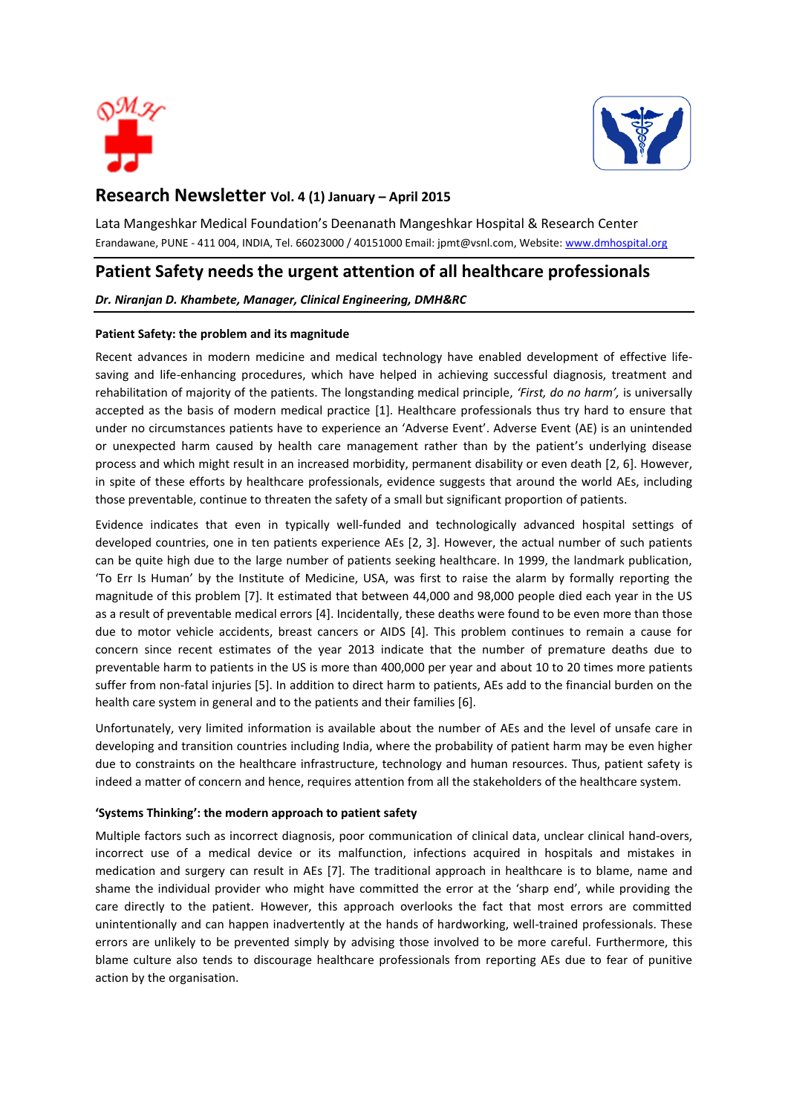



# **Research Newsletter Vol. 4 (1) January – April 2015**

Lata Mangeshkar Medical Foundation's Deenanath Mangeshkar Hospital & Research Center Erandawane, PUNE - 411 004, INDIA, Tel. 66023000 / 40151000 Email[: jpmt@vsnl.com,](mailto:jpmt@vsnl.com) Website[: www.dmhospital.org](http://www.dmhospital.org/)

## **Patient Safety needs the urgent attention of all healthcare professionals**

*Dr. Niranjan D. Khambete, Manager, Clinical Engineering, DMH&RC*

## **Patient Safety: the problem and its magnitude**

Recent advances in modern medicine and medical technology have enabled development of effective lifesaving and life-enhancing procedures, which have helped in achieving successful diagnosis, treatment and rehabilitation of majority of the patients. The longstanding medical principle, *'First, do no harm',* is universally accepted as the basis of modern medical practice [1]. Healthcare professionals thus try hard to ensure that under no circumstances patients have to experience an 'Adverse Event'. Adverse Event (AE) is an unintended or unexpected harm caused by health care management rather than by the patient's underlying disease process and which might result in an increased morbidity, permanent disability or even death [2, 6]. However, in spite of these efforts by healthcare professionals, evidence suggests that around the world AEs, including those preventable, continue to threaten the safety of a small but significant proportion of patients.

Evidence indicates that even in typically well-funded and technologically advanced hospital settings of developed countries, one in ten patients experience AEs [2, 3]. However, the actual number of such patients can be quite high due to the large number of patients seeking healthcare. In 1999, the landmark publication, 'To Err Is Human' by the Institute of Medicine, USA, was first to raise the alarm by formally reporting the magnitude of this problem [7]. It estimated that between 44,000 and 98,000 people died each year in the US as a result of preventable medical errors [4]. Incidentally, these deaths were found to be even more than those due to motor vehicle accidents, breast cancers or AIDS [4]. This problem continues to remain a cause for concern since recent estimates of the year 2013 indicate that the number of premature deaths due to preventable harm to patients in the US is more than 400,000 per year and about 10 to 20 times more patients suffer from non-fatal injuries [5]. In addition to direct harm to patients, AEs add to the financial burden on the health care system in general and to the patients and their families [6].

Unfortunately, very limited information is available about the number of AEs and the level of unsafe care in developing and transition countries including India, where the probability of patient harm may be even higher due to constraints on the healthcare infrastructure, technology and human resources. Thus, patient safety is indeed a matter of concern and hence, requires attention from all the stakeholders of the healthcare system.

### **'Systems Thinking': the modern approach to patient safety**

Multiple factors such as incorrect diagnosis, poor communication of clinical data, unclear clinical hand-overs, incorrect use of a medical device or its malfunction, infections acquired in hospitals and mistakes in medication and surgery can result in AEs [7]. The traditional approach in healthcare is to blame, name and shame the individual provider who might have committed the error at the 'sharp end', while providing the care directly to the patient. However, this approach overlooks the fact that most errors are committed unintentionally and can happen inadvertently at the hands of hardworking, well-trained professionals. These errors are unlikely to be prevented simply by advising those involved to be more careful. Furthermore, this blame culture also tends to discourage healthcare professionals from reporting AEs due to fear of punitive action by the organisation.